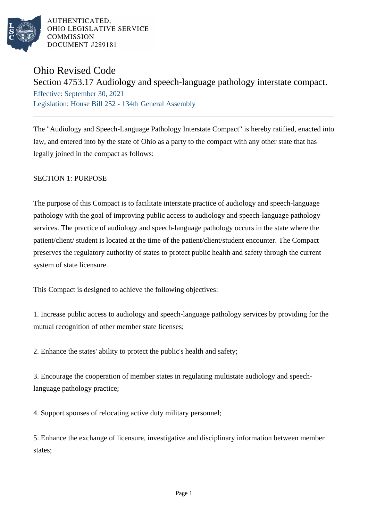

# Ohio Revised Code

Section 4753.17 Audiology and speech-language pathology interstate compact. Effective: September 30, 2021 Legislation: House Bill 252 - 134th General Assembly

The "Audiology and Speech-Language Pathology Interstate Compact" is hereby ratified, enacted into law, and entered into by the state of Ohio as a party to the compact with any other state that has legally joined in the compact as follows:

SECTION 1: PURPOSE

The purpose of this Compact is to facilitate interstate practice of audiology and speech-language pathology with the goal of improving public access to audiology and speech-language pathology services. The practice of audiology and speech-language pathology occurs in the state where the patient/client/ student is located at the time of the patient/client/student encounter. The Compact preserves the regulatory authority of states to protect public health and safety through the current system of state licensure.

This Compact is designed to achieve the following objectives:

1. Increase public access to audiology and speech-language pathology services by providing for the mutual recognition of other member state licenses;

2. Enhance the states' ability to protect the public's health and safety;

3. Encourage the cooperation of member states in regulating multistate audiology and speechlanguage pathology practice;

4. Support spouses of relocating active duty military personnel;

5. Enhance the exchange of licensure, investigative and disciplinary information between member states;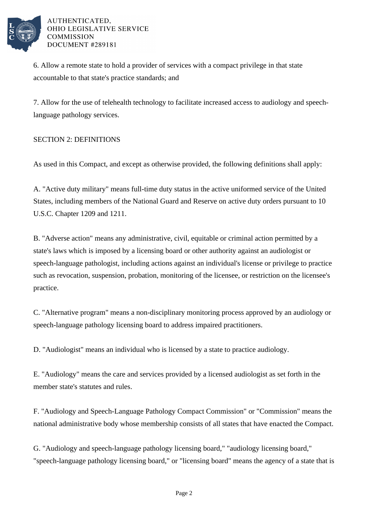

6. Allow a remote state to hold a provider of services with a compact privilege in that state accountable to that state's practice standards; and

7. Allow for the use of telehealth technology to facilitate increased access to audiology and speechlanguage pathology services.

### SECTION 2: DEFINITIONS

As used in this Compact, and except as otherwise provided, the following definitions shall apply:

A. "Active duty military" means full-time duty status in the active uniformed service of the United States, including members of the National Guard and Reserve on active duty orders pursuant to 10 U.S.C. Chapter 1209 and 1211.

B. "Adverse action" means any administrative, civil, equitable or criminal action permitted by a state's laws which is imposed by a licensing board or other authority against an audiologist or speech-language pathologist, including actions against an individual's license or privilege to practice such as revocation, suspension, probation, monitoring of the licensee, or restriction on the licensee's practice.

C. "Alternative program" means a non-disciplinary monitoring process approved by an audiology or speech-language pathology licensing board to address impaired practitioners.

D. "Audiologist" means an individual who is licensed by a state to practice audiology.

E. "Audiology" means the care and services provided by a licensed audiologist as set forth in the member state's statutes and rules.

F. "Audiology and Speech-Language Pathology Compact Commission" or "Commission" means the national administrative body whose membership consists of all states that have enacted the Compact.

G. "Audiology and speech-language pathology licensing board," "audiology licensing board," "speech-language pathology licensing board," or "licensing board" means the agency of a state that is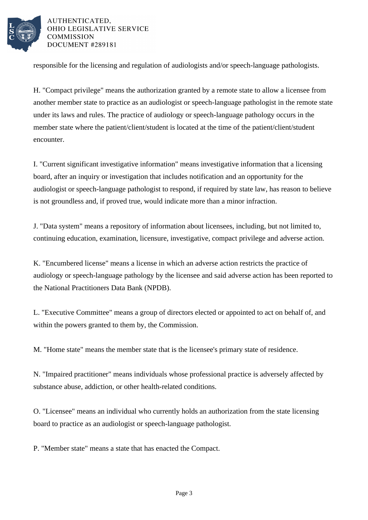

responsible for the licensing and regulation of audiologists and/or speech-language pathologists.

H. "Compact privilege" means the authorization granted by a remote state to allow a licensee from another member state to practice as an audiologist or speech-language pathologist in the remote state under its laws and rules. The practice of audiology or speech-language pathology occurs in the member state where the patient/client/student is located at the time of the patient/client/student encounter.

I. "Current significant investigative information" means investigative information that a licensing board, after an inquiry or investigation that includes notification and an opportunity for the audiologist or speech-language pathologist to respond, if required by state law, has reason to believe is not groundless and, if proved true, would indicate more than a minor infraction.

J. "Data system" means a repository of information about licensees, including, but not limited to, continuing education, examination, licensure, investigative, compact privilege and adverse action.

K. "Encumbered license" means a license in which an adverse action restricts the practice of audiology or speech-language pathology by the licensee and said adverse action has been reported to the National Practitioners Data Bank (NPDB).

L. "Executive Committee" means a group of directors elected or appointed to act on behalf of, and within the powers granted to them by, the Commission.

M. "Home state" means the member state that is the licensee's primary state of residence.

N. "Impaired practitioner" means individuals whose professional practice is adversely affected by substance abuse, addiction, or other health-related conditions.

O. "Licensee" means an individual who currently holds an authorization from the state licensing board to practice as an audiologist or speech-language pathologist.

P. "Member state" means a state that has enacted the Compact.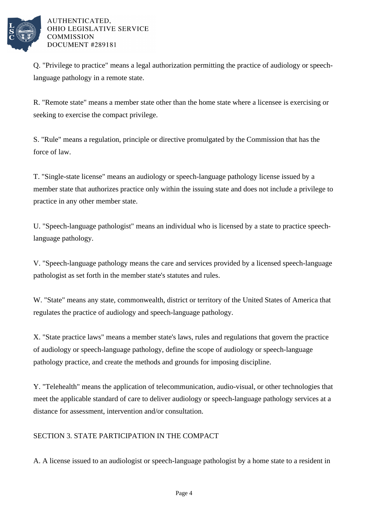

Q. "Privilege to practice" means a legal authorization permitting the practice of audiology or speechlanguage pathology in a remote state.

R. "Remote state" means a member state other than the home state where a licensee is exercising or seeking to exercise the compact privilege.

S. "Rule" means a regulation, principle or directive promulgated by the Commission that has the force of law.

T. "Single-state license" means an audiology or speech-language pathology license issued by a member state that authorizes practice only within the issuing state and does not include a privilege to practice in any other member state.

U. "Speech-language pathologist" means an individual who is licensed by a state to practice speechlanguage pathology.

V. "Speech-language pathology means the care and services provided by a licensed speech-language pathologist as set forth in the member state's statutes and rules.

W. "State" means any state, commonwealth, district or territory of the United States of America that regulates the practice of audiology and speech-language pathology.

X. "State practice laws" means a member state's laws, rules and regulations that govern the practice of audiology or speech-language pathology, define the scope of audiology or speech-language pathology practice, and create the methods and grounds for imposing discipline.

Y. "Telehealth" means the application of telecommunication, audio-visual, or other technologies that meet the applicable standard of care to deliver audiology or speech-language pathology services at a distance for assessment, intervention and/or consultation.

### SECTION 3. STATE PARTICIPATION IN THE COMPACT

A. A license issued to an audiologist or speech-language pathologist by a home state to a resident in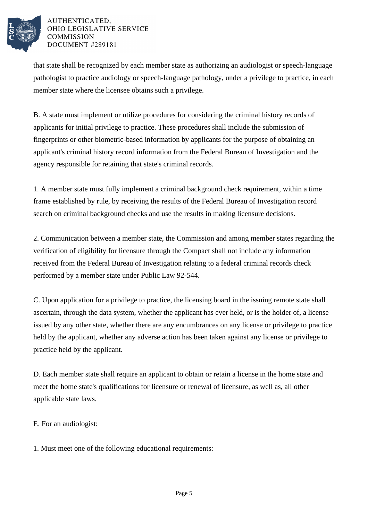

that state shall be recognized by each member state as authorizing an audiologist or speech-language pathologist to practice audiology or speech-language pathology, under a privilege to practice, in each member state where the licensee obtains such a privilege.

B. A state must implement or utilize procedures for considering the criminal history records of applicants for initial privilege to practice. These procedures shall include the submission of fingerprints or other biometric-based information by applicants for the purpose of obtaining an applicant's criminal history record information from the Federal Bureau of Investigation and the agency responsible for retaining that state's criminal records.

1. A member state must fully implement a criminal background check requirement, within a time frame established by rule, by receiving the results of the Federal Bureau of Investigation record search on criminal background checks and use the results in making licensure decisions.

2. Communication between a member state, the Commission and among member states regarding the verification of eligibility for licensure through the Compact shall not include any information received from the Federal Bureau of Investigation relating to a federal criminal records check performed by a member state under Public Law 92-544.

C. Upon application for a privilege to practice, the licensing board in the issuing remote state shall ascertain, through the data system, whether the applicant has ever held, or is the holder of, a license issued by any other state, whether there are any encumbrances on any license or privilege to practice held by the applicant, whether any adverse action has been taken against any license or privilege to practice held by the applicant.

D. Each member state shall require an applicant to obtain or retain a license in the home state and meet the home state's qualifications for licensure or renewal of licensure, as well as, all other applicable state laws.

E. For an audiologist:

1. Must meet one of the following educational requirements: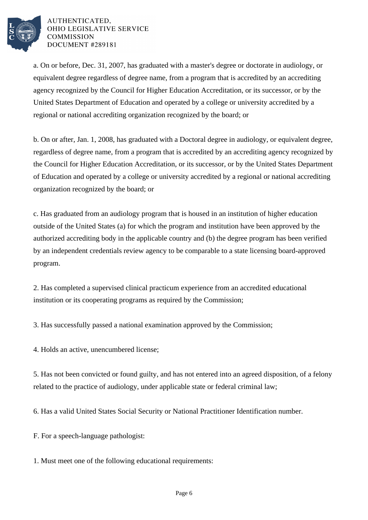

a. On or before, Dec. 31, 2007, has graduated with a master's degree or doctorate in audiology, or equivalent degree regardless of degree name, from a program that is accredited by an accrediting agency recognized by the Council for Higher Education Accreditation, or its successor, or by the United States Department of Education and operated by a college or university accredited by a regional or national accrediting organization recognized by the board; or

b. On or after, Jan. 1, 2008, has graduated with a Doctoral degree in audiology, or equivalent degree, regardless of degree name, from a program that is accredited by an accrediting agency recognized by the Council for Higher Education Accreditation, or its successor, or by the United States Department of Education and operated by a college or university accredited by a regional or national accrediting organization recognized by the board; or

c. Has graduated from an audiology program that is housed in an institution of higher education outside of the United States (a) for which the program and institution have been approved by the authorized accrediting body in the applicable country and (b) the degree program has been verified by an independent credentials review agency to be comparable to a state licensing board-approved program.

2. Has completed a supervised clinical practicum experience from an accredited educational institution or its cooperating programs as required by the Commission;

3. Has successfully passed a national examination approved by the Commission;

4. Holds an active, unencumbered license;

5. Has not been convicted or found guilty, and has not entered into an agreed disposition, of a felony related to the practice of audiology, under applicable state or federal criminal law;

6. Has a valid United States Social Security or National Practitioner Identification number.

F. For a speech-language pathologist:

1. Must meet one of the following educational requirements: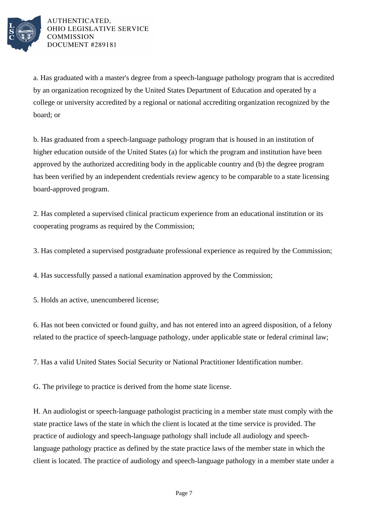

a. Has graduated with a master's degree from a speech-language pathology program that is accredited by an organization recognized by the United States Department of Education and operated by a college or university accredited by a regional or national accrediting organization recognized by the board; or

b. Has graduated from a speech-language pathology program that is housed in an institution of higher education outside of the United States (a) for which the program and institution have been approved by the authorized accrediting body in the applicable country and (b) the degree program has been verified by an independent credentials review agency to be comparable to a state licensing board-approved program.

2. Has completed a supervised clinical practicum experience from an educational institution or its cooperating programs as required by the Commission;

3. Has completed a supervised postgraduate professional experience as required by the Commission;

4. Has successfully passed a national examination approved by the Commission;

5. Holds an active, unencumbered license;

6. Has not been convicted or found guilty, and has not entered into an agreed disposition, of a felony related to the practice of speech-language pathology, under applicable state or federal criminal law;

7. Has a valid United States Social Security or National Practitioner Identification number.

G. The privilege to practice is derived from the home state license.

H. An audiologist or speech-language pathologist practicing in a member state must comply with the state practice laws of the state in which the client is located at the time service is provided. The practice of audiology and speech-language pathology shall include all audiology and speechlanguage pathology practice as defined by the state practice laws of the member state in which the client is located. The practice of audiology and speech-language pathology in a member state under a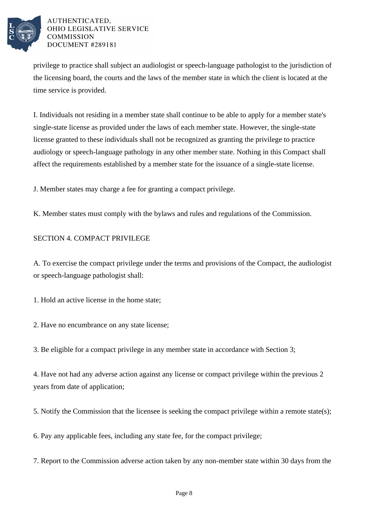

privilege to practice shall subject an audiologist or speech-language pathologist to the jurisdiction of the licensing board, the courts and the laws of the member state in which the client is located at the time service is provided.

I. Individuals not residing in a member state shall continue to be able to apply for a member state's single-state license as provided under the laws of each member state. However, the single-state license granted to these individuals shall not be recognized as granting the privilege to practice audiology or speech-language pathology in any other member state. Nothing in this Compact shall affect the requirements established by a member state for the issuance of a single-state license.

J. Member states may charge a fee for granting a compact privilege.

K. Member states must comply with the bylaws and rules and regulations of the Commission.

### SECTION 4. COMPACT PRIVILEGE

A. To exercise the compact privilege under the terms and provisions of the Compact, the audiologist or speech-language pathologist shall:

1. Hold an active license in the home state;

2. Have no encumbrance on any state license;

3. Be eligible for a compact privilege in any member state in accordance with Section 3;

4. Have not had any adverse action against any license or compact privilege within the previous 2 years from date of application;

5. Notify the Commission that the licensee is seeking the compact privilege within a remote state(s);

6. Pay any applicable fees, including any state fee, for the compact privilege;

7. Report to the Commission adverse action taken by any non-member state within 30 days from the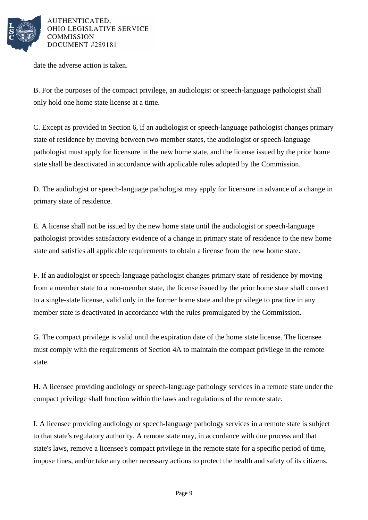

date the adverse action is taken.

B. For the purposes of the compact privilege, an audiologist or speech-language pathologist shall only hold one home state license at a time.

C. Except as provided in Section 6, if an audiologist or speech-language pathologist changes primary state of residence by moving between two-member states, the audiologist or speech-language pathologist must apply for licensure in the new home state, and the license issued by the prior home state shall be deactivated in accordance with applicable rules adopted by the Commission.

D. The audiologist or speech-language pathologist may apply for licensure in advance of a change in primary state of residence.

E. A license shall not be issued by the new home state until the audiologist or speech-language pathologist provides satisfactory evidence of a change in primary state of residence to the new home state and satisfies all applicable requirements to obtain a license from the new home state.

F. If an audiologist or speech-language pathologist changes primary state of residence by moving from a member state to a non-member state, the license issued by the prior home state shall convert to a single-state license, valid only in the former home state and the privilege to practice in any member state is deactivated in accordance with the rules promulgated by the Commission.

G. The compact privilege is valid until the expiration date of the home state license. The licensee must comply with the requirements of Section 4A to maintain the compact privilege in the remote state.

H. A licensee providing audiology or speech-language pathology services in a remote state under the compact privilege shall function within the laws and regulations of the remote state.

I. A licensee providing audiology or speech-language pathology services in a remote state is subject to that state's regulatory authority. A remote state may, in accordance with due process and that state's laws, remove a licensee's compact privilege in the remote state for a specific period of time, impose fines, and/or take any other necessary actions to protect the health and safety of its citizens.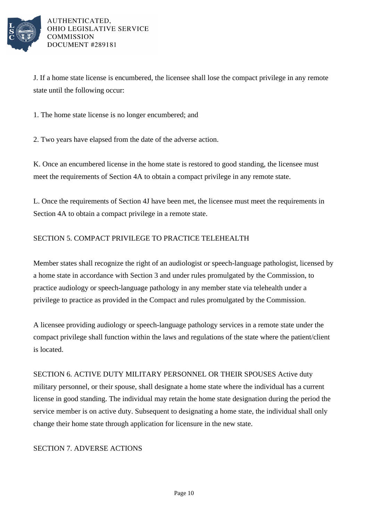

J. If a home state license is encumbered, the licensee shall lose the compact privilege in any remote state until the following occur:

1. The home state license is no longer encumbered; and

2. Two years have elapsed from the date of the adverse action.

K. Once an encumbered license in the home state is restored to good standing, the licensee must meet the requirements of Section 4A to obtain a compact privilege in any remote state.

L. Once the requirements of Section 4J have been met, the licensee must meet the requirements in Section 4A to obtain a compact privilege in a remote state.

### SECTION 5. COMPACT PRIVILEGE TO PRACTICE TELEHEALTH

Member states shall recognize the right of an audiologist or speech-language pathologist, licensed by a home state in accordance with Section 3 and under rules promulgated by the Commission, to practice audiology or speech-language pathology in any member state via telehealth under a privilege to practice as provided in the Compact and rules promulgated by the Commission.

A licensee providing audiology or speech-language pathology services in a remote state under the compact privilege shall function within the laws and regulations of the state where the patient/client is located.

SECTION 6. ACTIVE DUTY MILITARY PERSONNEL OR THEIR SPOUSES Active duty military personnel, or their spouse, shall designate a home state where the individual has a current license in good standing. The individual may retain the home state designation during the period the service member is on active duty. Subsequent to designating a home state, the individual shall only change their home state through application for licensure in the new state.

#### SECTION 7. ADVERSE ACTIONS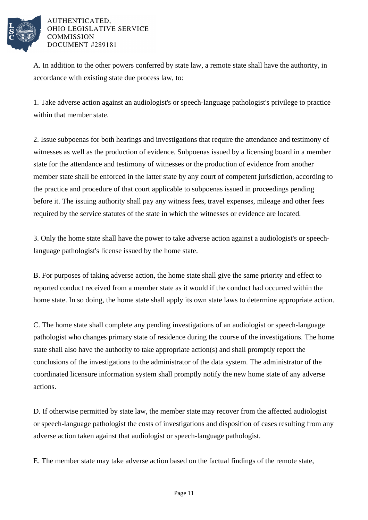

A. In addition to the other powers conferred by state law, a remote state shall have the authority, in accordance with existing state due process law, to:

1. Take adverse action against an audiologist's or speech-language pathologist's privilege to practice within that member state.

2. Issue subpoenas for both hearings and investigations that require the attendance and testimony of witnesses as well as the production of evidence. Subpoenas issued by a licensing board in a member state for the attendance and testimony of witnesses or the production of evidence from another member state shall be enforced in the latter state by any court of competent jurisdiction, according to the practice and procedure of that court applicable to subpoenas issued in proceedings pending before it. The issuing authority shall pay any witness fees, travel expenses, mileage and other fees required by the service statutes of the state in which the witnesses or evidence are located.

3. Only the home state shall have the power to take adverse action against a audiologist's or speechlanguage pathologist's license issued by the home state.

B. For purposes of taking adverse action, the home state shall give the same priority and effect to reported conduct received from a member state as it would if the conduct had occurred within the home state. In so doing, the home state shall apply its own state laws to determine appropriate action.

C. The home state shall complete any pending investigations of an audiologist or speech-language pathologist who changes primary state of residence during the course of the investigations. The home state shall also have the authority to take appropriate action(s) and shall promptly report the conclusions of the investigations to the administrator of the data system. The administrator of the coordinated licensure information system shall promptly notify the new home state of any adverse actions.

D. If otherwise permitted by state law, the member state may recover from the affected audiologist or speech-language pathologist the costs of investigations and disposition of cases resulting from any adverse action taken against that audiologist or speech-language pathologist.

E. The member state may take adverse action based on the factual findings of the remote state,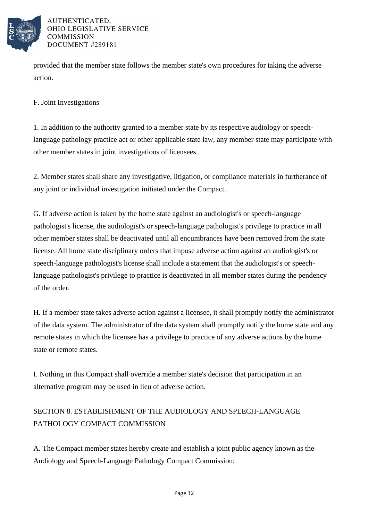

provided that the member state follows the member state's own procedures for taking the adverse action.

F. Joint Investigations

1. In addition to the authority granted to a member state by its respective audiology or speechlanguage pathology practice act or other applicable state law, any member state may participate with other member states in joint investigations of licensees.

2. Member states shall share any investigative, litigation, or compliance materials in furtherance of any joint or individual investigation initiated under the Compact.

G. If adverse action is taken by the home state against an audiologist's or speech-language pathologist's license, the audiologist's or speech-language pathologist's privilege to practice in all other member states shall be deactivated until all encumbrances have been removed from the state license. All home state disciplinary orders that impose adverse action against an audiologist's or speech-language pathologist's license shall include a statement that the audiologist's or speechlanguage pathologist's privilege to practice is deactivated in all member states during the pendency of the order.

H. If a member state takes adverse action against a licensee, it shall promptly notify the administrator of the data system. The administrator of the data system shall promptly notify the home state and any remote states in which the licensee has a privilege to practice of any adverse actions by the home state or remote states.

I. Nothing in this Compact shall override a member state's decision that participation in an alternative program may be used in lieu of adverse action.

## SECTION 8. ESTABLISHMENT OF THE AUDIOLOGY AND SPEECH-LANGUAGE PATHOLOGY COMPACT COMMISSION

A. The Compact member states hereby create and establish a joint public agency known as the Audiology and Speech-Language Pathology Compact Commission: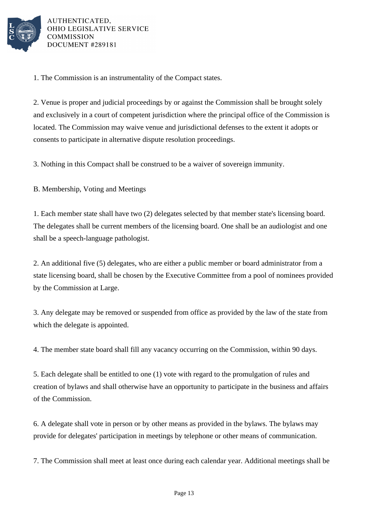

1. The Commission is an instrumentality of the Compact states.

2. Venue is proper and judicial proceedings by or against the Commission shall be brought solely and exclusively in a court of competent jurisdiction where the principal office of the Commission is located. The Commission may waive venue and jurisdictional defenses to the extent it adopts or consents to participate in alternative dispute resolution proceedings.

3. Nothing in this Compact shall be construed to be a waiver of sovereign immunity.

B. Membership, Voting and Meetings

1. Each member state shall have two (2) delegates selected by that member state's licensing board. The delegates shall be current members of the licensing board. One shall be an audiologist and one shall be a speech-language pathologist.

2. An additional five (5) delegates, who are either a public member or board administrator from a state licensing board, shall be chosen by the Executive Committee from a pool of nominees provided by the Commission at Large.

3. Any delegate may be removed or suspended from office as provided by the law of the state from which the delegate is appointed.

4. The member state board shall fill any vacancy occurring on the Commission, within 90 days.

5. Each delegate shall be entitled to one (1) vote with regard to the promulgation of rules and creation of bylaws and shall otherwise have an opportunity to participate in the business and affairs of the Commission.

6. A delegate shall vote in person or by other means as provided in the bylaws. The bylaws may provide for delegates' participation in meetings by telephone or other means of communication.

7. The Commission shall meet at least once during each calendar year. Additional meetings shall be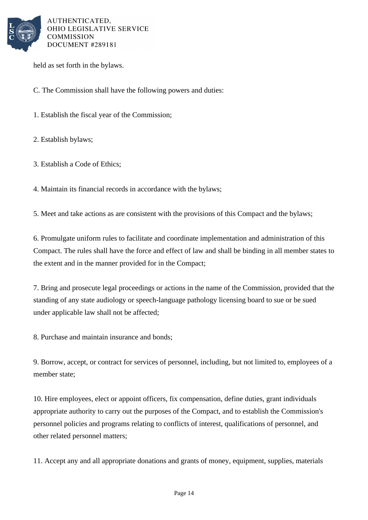

held as set forth in the bylaws.

C. The Commission shall have the following powers and duties:

1. Establish the fiscal year of the Commission;

2. Establish bylaws;

3. Establish a Code of Ethics;

4. Maintain its financial records in accordance with the bylaws;

5. Meet and take actions as are consistent with the provisions of this Compact and the bylaws;

6. Promulgate uniform rules to facilitate and coordinate implementation and administration of this Compact. The rules shall have the force and effect of law and shall be binding in all member states to the extent and in the manner provided for in the Compact;

7. Bring and prosecute legal proceedings or actions in the name of the Commission, provided that the standing of any state audiology or speech-language pathology licensing board to sue or be sued under applicable law shall not be affected;

8. Purchase and maintain insurance and bonds;

9. Borrow, accept, or contract for services of personnel, including, but not limited to, employees of a member state;

10. Hire employees, elect or appoint officers, fix compensation, define duties, grant individuals appropriate authority to carry out the purposes of the Compact, and to establish the Commission's personnel policies and programs relating to conflicts of interest, qualifications of personnel, and other related personnel matters;

11. Accept any and all appropriate donations and grants of money, equipment, supplies, materials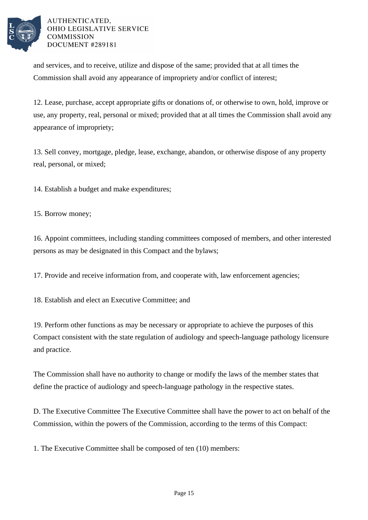

and services, and to receive, utilize and dispose of the same; provided that at all times the Commission shall avoid any appearance of impropriety and/or conflict of interest;

12. Lease, purchase, accept appropriate gifts or donations of, or otherwise to own, hold, improve or use, any property, real, personal or mixed; provided that at all times the Commission shall avoid any appearance of impropriety;

13. Sell convey, mortgage, pledge, lease, exchange, abandon, or otherwise dispose of any property real, personal, or mixed;

14. Establish a budget and make expenditures;

15. Borrow money;

16. Appoint committees, including standing committees composed of members, and other interested persons as may be designated in this Compact and the bylaws;

17. Provide and receive information from, and cooperate with, law enforcement agencies;

18. Establish and elect an Executive Committee; and

19. Perform other functions as may be necessary or appropriate to achieve the purposes of this Compact consistent with the state regulation of audiology and speech-language pathology licensure and practice.

The Commission shall have no authority to change or modify the laws of the member states that define the practice of audiology and speech-language pathology in the respective states.

D. The Executive Committee The Executive Committee shall have the power to act on behalf of the Commission, within the powers of the Commission, according to the terms of this Compact:

1. The Executive Committee shall be composed of ten (10) members: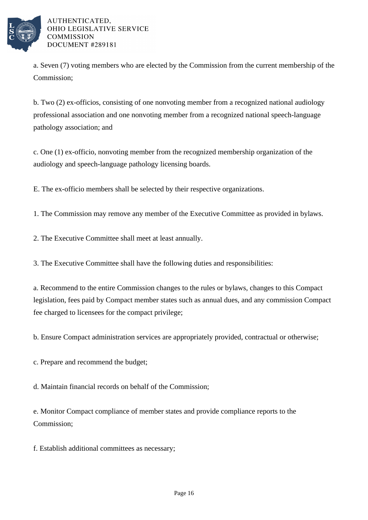

a. Seven (7) voting members who are elected by the Commission from the current membership of the Commission;

b. Two (2) ex-officios, consisting of one nonvoting member from a recognized national audiology professional association and one nonvoting member from a recognized national speech-language pathology association; and

c. One (1) ex-officio, nonvoting member from the recognized membership organization of the audiology and speech-language pathology licensing boards.

E. The ex-officio members shall be selected by their respective organizations.

1. The Commission may remove any member of the Executive Committee as provided in bylaws.

2. The Executive Committee shall meet at least annually.

3. The Executive Committee shall have the following duties and responsibilities:

a. Recommend to the entire Commission changes to the rules or bylaws, changes to this Compact legislation, fees paid by Compact member states such as annual dues, and any commission Compact fee charged to licensees for the compact privilege;

b. Ensure Compact administration services are appropriately provided, contractual or otherwise;

c. Prepare and recommend the budget;

d. Maintain financial records on behalf of the Commission;

e. Monitor Compact compliance of member states and provide compliance reports to the Commission;

f. Establish additional committees as necessary;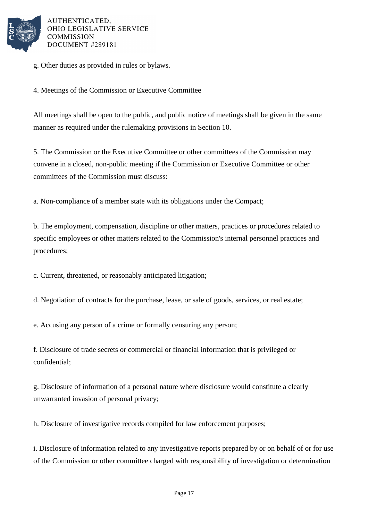

g. Other duties as provided in rules or bylaws.

4. Meetings of the Commission or Executive Committee

All meetings shall be open to the public, and public notice of meetings shall be given in the same manner as required under the rulemaking provisions in Section 10.

5. The Commission or the Executive Committee or other committees of the Commission may convene in a closed, non-public meeting if the Commission or Executive Committee or other committees of the Commission must discuss:

a. Non-compliance of a member state with its obligations under the Compact;

b. The employment, compensation, discipline or other matters, practices or procedures related to specific employees or other matters related to the Commission's internal personnel practices and procedures;

c. Current, threatened, or reasonably anticipated litigation;

d. Negotiation of contracts for the purchase, lease, or sale of goods, services, or real estate;

e. Accusing any person of a crime or formally censuring any person;

f. Disclosure of trade secrets or commercial or financial information that is privileged or confidential;

g. Disclosure of information of a personal nature where disclosure would constitute a clearly unwarranted invasion of personal privacy;

h. Disclosure of investigative records compiled for law enforcement purposes;

i. Disclosure of information related to any investigative reports prepared by or on behalf of or for use of the Commission or other committee charged with responsibility of investigation or determination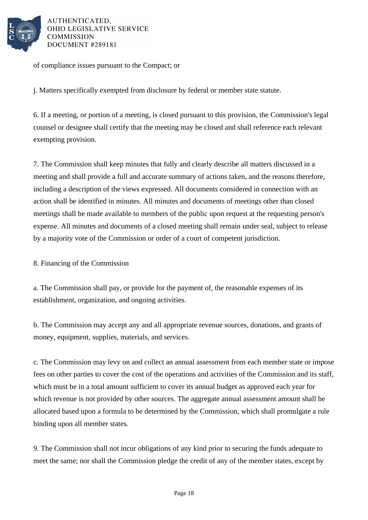

of compliance issues pursuant to the Compact; or

j. Matters specifically exempted from disclosure by federal or member state statute.

6. If a meeting, or portion of a meeting, is closed pursuant to this provision, the Commission's legal counsel or designee shall certify that the meeting may be closed and shall reference each relevant exempting provision.

7. The Commission shall keep minutes that fully and clearly describe all matters discussed in a meeting and shall provide a full and accurate summary of actions taken, and the reasons therefore, including a description of the views expressed. All documents considered in connection with an action shall be identified in minutes. All minutes and documents of meetings other than closed meetings shall be made available to members of the public upon request at the requesting person's expense. All minutes and documents of a closed meeting shall remain under seal, subject to release by a majority vote of the Commission or order of a court of competent jurisdiction.

8. Financing of the Commission

a. The Commission shall pay, or provide for the payment of, the reasonable expenses of its establishment, organization, and ongoing activities.

b. The Commission may accept any and all appropriate revenue sources, donations, and grants of money, equipment, supplies, materials, and services.

c. The Commission may levy on and collect an annual assessment from each member state or impose fees on other parties to cover the cost of the operations and activities of the Commission and its staff, which must be in a total amount sufficient to cover its annual budget as approved each year for which revenue is not provided by other sources. The aggregate annual assessment amount shall be allocated based upon a formula to be determined by the Commission, which shall promulgate a rule binding upon all member states.

9. The Commission shall not incur obligations of any kind prior to securing the funds adequate to meet the same; nor shall the Commission pledge the credit of any of the member states, except by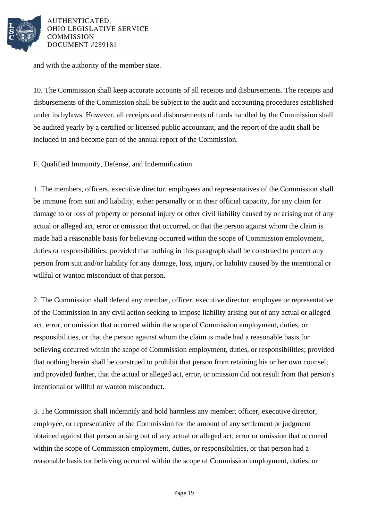

and with the authority of the member state.

10. The Commission shall keep accurate accounts of all receipts and disbursements. The receipts and disbursements of the Commission shall be subject to the audit and accounting procedures established under its bylaws. However, all receipts and disbursements of funds handled by the Commission shall be audited yearly by a certified or licensed public accountant, and the report of the audit shall be included in and become part of the annual report of the Commission.

F. Qualified Immunity, Defense, and Indemnification

1. The members, officers, executive director, employees and representatives of the Commission shall be immune from suit and liability, either personally or in their official capacity, for any claim for damage to or loss of property or personal injury or other civil liability caused by or arising out of any actual or alleged act, error or omission that occurred, or that the person against whom the claim is made had a reasonable basis for believing occurred within the scope of Commission employment, duties or responsibilities; provided that nothing in this paragraph shall be construed to protect any person from suit and/or liability for any damage, loss, injury, or liability caused by the intentional or willful or wanton misconduct of that person.

2. The Commission shall defend any member, officer, executive director, employee or representative of the Commission in any civil action seeking to impose liability arising out of any actual or alleged act, error, or omission that occurred within the scope of Commission employment, duties, or responsibilities, or that the person against whom the claim is made had a reasonable basis for believing occurred within the scope of Commission employment, duties, or responsibilities; provided that nothing herein shall be construed to prohibit that person from retaining his or her own counsel; and provided further, that the actual or alleged act, error, or omission did not result from that person's intentional or willful or wanton misconduct.

3. The Commission shall indemnify and hold harmless any member, officer, executive director, employee, or representative of the Commission for the amount of any settlement or judgment obtained against that person arising out of any actual or alleged act, error or omission that occurred within the scope of Commission employment, duties, or responsibilities, or that person had a reasonable basis for believing occurred within the scope of Commission employment, duties, or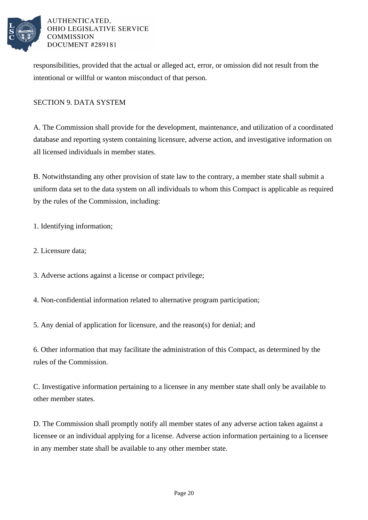

responsibilities, provided that the actual or alleged act, error, or omission did not result from the intentional or willful or wanton misconduct of that person.

### SECTION 9. DATA SYSTEM

A. The Commission shall provide for the development, maintenance, and utilization of a coordinated database and reporting system containing licensure, adverse action, and investigative information on all licensed individuals in member states.

B. Notwithstanding any other provision of state law to the contrary, a member state shall submit a uniform data set to the data system on all individuals to whom this Compact is applicable as required by the rules of the Commission, including:

1. Identifying information;

- 2. Licensure data;
- 3. Adverse actions against a license or compact privilege;
- 4. Non-confidential information related to alternative program participation;
- 5. Any denial of application for licensure, and the reason(s) for denial; and

6. Other information that may facilitate the administration of this Compact, as determined by the rules of the Commission.

C. Investigative information pertaining to a licensee in any member state shall only be available to other member states.

D. The Commission shall promptly notify all member states of any adverse action taken against a licensee or an individual applying for a license. Adverse action information pertaining to a licensee in any member state shall be available to any other member state.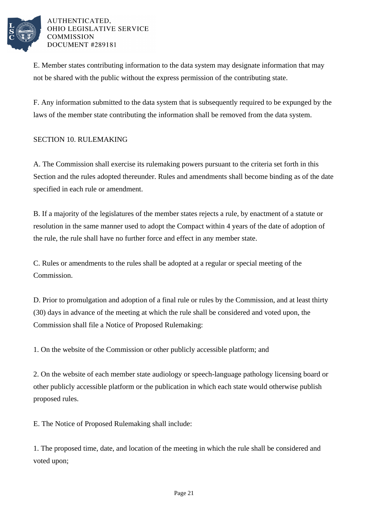

E. Member states contributing information to the data system may designate information that may not be shared with the public without the express permission of the contributing state.

F. Any information submitted to the data system that is subsequently required to be expunged by the laws of the member state contributing the information shall be removed from the data system.

### SECTION 10. RULEMAKING

A. The Commission shall exercise its rulemaking powers pursuant to the criteria set forth in this Section and the rules adopted thereunder. Rules and amendments shall become binding as of the date specified in each rule or amendment.

B. If a majority of the legislatures of the member states rejects a rule, by enactment of a statute or resolution in the same manner used to adopt the Compact within 4 years of the date of adoption of the rule, the rule shall have no further force and effect in any member state.

C. Rules or amendments to the rules shall be adopted at a regular or special meeting of the Commission.

D. Prior to promulgation and adoption of a final rule or rules by the Commission, and at least thirty (30) days in advance of the meeting at which the rule shall be considered and voted upon, the Commission shall file a Notice of Proposed Rulemaking:

1. On the website of the Commission or other publicly accessible platform; and

2. On the website of each member state audiology or speech-language pathology licensing board or other publicly accessible platform or the publication in which each state would otherwise publish proposed rules.

E. The Notice of Proposed Rulemaking shall include:

1. The proposed time, date, and location of the meeting in which the rule shall be considered and voted upon;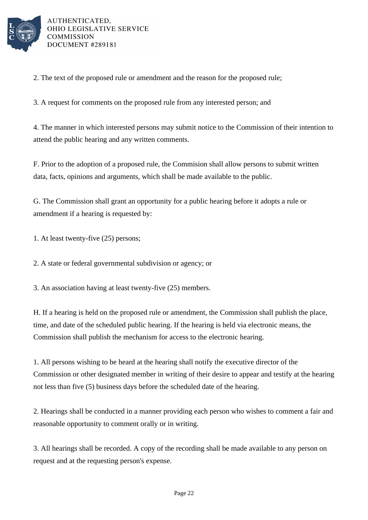

2. The text of the proposed rule or amendment and the reason for the proposed rule;

3. A request for comments on the proposed rule from any interested person; and

4. The manner in which interested persons may submit notice to the Commission of their intention to attend the public hearing and any written comments.

F. Prior to the adoption of a proposed rule, the Commision shall allow persons to submit written data, facts, opinions and arguments, which shall be made available to the public.

G. The Commission shall grant an opportunity for a public hearing before it adopts a rule or amendment if a hearing is requested by:

1. At least twenty-five (25) persons;

2. A state or federal governmental subdivision or agency; or

3. An association having at least twenty-five (25) members.

H. If a hearing is held on the proposed rule or amendment, the Commission shall publish the place, time, and date of the scheduled public hearing. If the hearing is held via electronic means, the Commission shall publish the mechanism for access to the electronic hearing.

1. All persons wishing to be heard at the hearing shall notify the executive director of the Commission or other designated member in writing of their desire to appear and testify at the hearing not less than five (5) business days before the scheduled date of the hearing.

2. Hearings shall be conducted in a manner providing each person who wishes to comment a fair and reasonable opportunity to comment orally or in writing.

3. All hearings shall be recorded. A copy of the recording shall be made available to any person on request and at the requesting person's expense.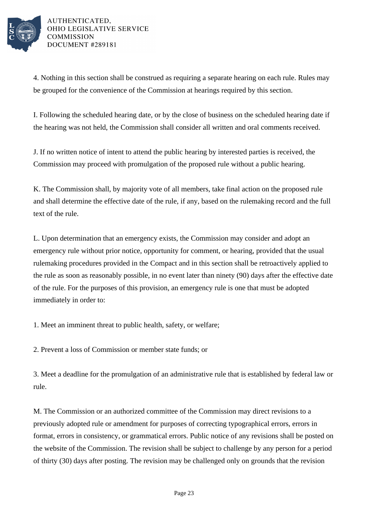

4. Nothing in this section shall be construed as requiring a separate hearing on each rule. Rules may be grouped for the convenience of the Commission at hearings required by this section.

I. Following the scheduled hearing date, or by the close of business on the scheduled hearing date if the hearing was not held, the Commission shall consider all written and oral comments received.

J. If no written notice of intent to attend the public hearing by interested parties is received, the Commission may proceed with promulgation of the proposed rule without a public hearing.

K. The Commission shall, by majority vote of all members, take final action on the proposed rule and shall determine the effective date of the rule, if any, based on the rulemaking record and the full text of the rule.

L. Upon determination that an emergency exists, the Commission may consider and adopt an emergency rule without prior notice, opportunity for comment, or hearing, provided that the usual rulemaking procedures provided in the Compact and in this section shall be retroactively applied to the rule as soon as reasonably possible, in no event later than ninety (90) days after the effective date of the rule. For the purposes of this provision, an emergency rule is one that must be adopted immediately in order to:

1. Meet an imminent threat to public health, safety, or welfare;

2. Prevent a loss of Commission or member state funds; or

3. Meet a deadline for the promulgation of an administrative rule that is established by federal law or rule.

M. The Commission or an authorized committee of the Commission may direct revisions to a previously adopted rule or amendment for purposes of correcting typographical errors, errors in format, errors in consistency, or grammatical errors. Public notice of any revisions shall be posted on the website of the Commission. The revision shall be subject to challenge by any person for a period of thirty (30) days after posting. The revision may be challenged only on grounds that the revision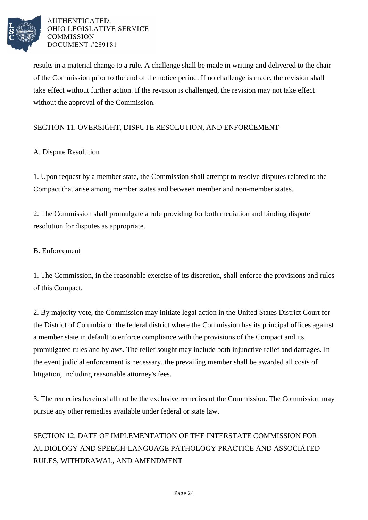

results in a material change to a rule. A challenge shall be made in writing and delivered to the chair of the Commission prior to the end of the notice period. If no challenge is made, the revision shall take effect without further action. If the revision is challenged, the revision may not take effect without the approval of the Commission.

### SECTION 11. OVERSIGHT, DISPUTE RESOLUTION, AND ENFORCEMENT

### A. Dispute Resolution

1. Upon request by a member state, the Commission shall attempt to resolve disputes related to the Compact that arise among member states and between member and non-member states.

2. The Commission shall promulgate a rule providing for both mediation and binding dispute resolution for disputes as appropriate.

### B. Enforcement

1. The Commission, in the reasonable exercise of its discretion, shall enforce the provisions and rules of this Compact.

2. By majority vote, the Commission may initiate legal action in the United States District Court for the District of Columbia or the federal district where the Commission has its principal offices against a member state in default to enforce compliance with the provisions of the Compact and its promulgated rules and bylaws. The relief sought may include both injunctive relief and damages. In the event judicial enforcement is necessary, the prevailing member shall be awarded all costs of litigation, including reasonable attorney's fees.

3. The remedies herein shall not be the exclusive remedies of the Commission. The Commission may pursue any other remedies available under federal or state law.

# SECTION 12. DATE OF IMPLEMENTATION OF THE INTERSTATE COMMISSION FOR AUDIOLOGY AND SPEECH-LANGUAGE PATHOLOGY PRACTICE AND ASSOCIATED RULES, WITHDRAWAL, AND AMENDMENT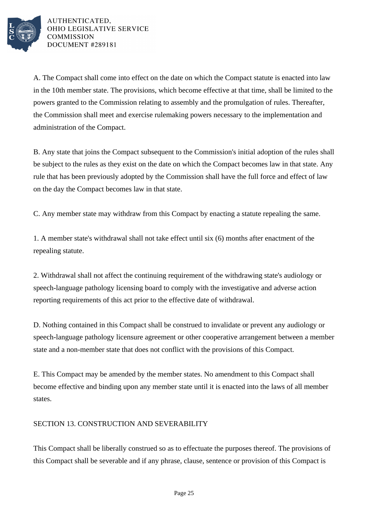

A. The Compact shall come into effect on the date on which the Compact statute is enacted into law in the 10th member state. The provisions, which become effective at that time, shall be limited to the powers granted to the Commission relating to assembly and the promulgation of rules. Thereafter, the Commission shall meet and exercise rulemaking powers necessary to the implementation and administration of the Compact.

B. Any state that joins the Compact subsequent to the Commission's initial adoption of the rules shall be subject to the rules as they exist on the date on which the Compact becomes law in that state. Any rule that has been previously adopted by the Commission shall have the full force and effect of law on the day the Compact becomes law in that state.

C. Any member state may withdraw from this Compact by enacting a statute repealing the same.

1. A member state's withdrawal shall not take effect until six (6) months after enactment of the repealing statute.

2. Withdrawal shall not affect the continuing requirement of the withdrawing state's audiology or speech-language pathology licensing board to comply with the investigative and adverse action reporting requirements of this act prior to the effective date of withdrawal.

D. Nothing contained in this Compact shall be construed to invalidate or prevent any audiology or speech-language pathology licensure agreement or other cooperative arrangement between a member state and a non-member state that does not conflict with the provisions of this Compact.

E. This Compact may be amended by the member states. No amendment to this Compact shall become effective and binding upon any member state until it is enacted into the laws of all member states.

### SECTION 13. CONSTRUCTION AND SEVERABILITY

This Compact shall be liberally construed so as to effectuate the purposes thereof. The provisions of this Compact shall be severable and if any phrase, clause, sentence or provision of this Compact is